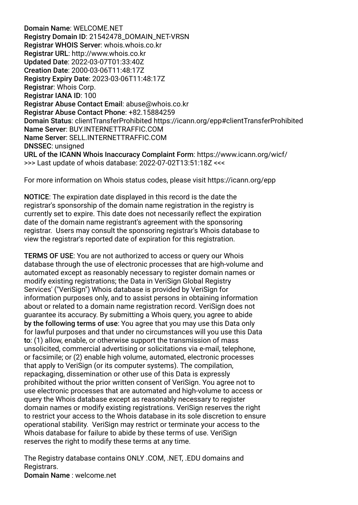Domain Name: WELCOME.NET Registry Domain ID: 21542478\_DOMAIN\_NET-VRSN Registrar WHOIS Server: whois.whois.co.kr Registrar URL: http://www.whois.co.kr Updated Date: 2022-03-07T01:33:40Z Creation Date: 2000-03-06T11:48:17Z Registry Expiry Date: 2023-03-06T11:48:17Z Registrar: Whois Corp. Registrar IANA ID: 100 Registrar Abuse Contact Email: abuse@whois.co.kr Registrar Abuse Contact Phone: +82.15884259 Domain Status: clientTransferProhibited https://icann.org/epp#clientTransferProhibited Name Server: BUY.INTERNETTRAFFIC.COM Name Server: SELL.INTERNETTRAFFIC.COM DNSSEC: unsigned URL of the ICANN Whois Inaccuracy Complaint Form: https://www.icann.org/wicf/ >>> Last update of whois database: 2022-07-02T13:51:18Z <<<

For more information on Whois status codes, please visit https://icann.org/epp

NOTICE: The expiration date displayed in this record is the date the registrar's sponsorship of the domain name registration in the registry is currently set to expire. This date does not necessarily refect the expiration date of the domain name registrant's agreement with the sponsoring registrar. Users may consult the sponsoring registrar's Whois database to view the registrar's reported date of expiration for this registration.

TERMS OF USE: You are not authorized to access or query our Whois database through the use of electronic processes that are high-volume and automated except as reasonably necessary to register domain names or modify existing registrations; the Data in VeriSign Global Registry Services' ("VeriSign") Whois database is provided by VeriSign for information purposes only, and to assist persons in obtaining information about or related to a domain name registration record. VeriSign does not guarantee its accuracy. By submitting a Whois query, you agree to abide by the following terms of use: You agree that you may use this Data only for lawful purposes and that under no circumstances will you use this Data to: (1) allow, enable, or otherwise support the transmission of mass unsolicited, commercial advertising or solicitations via e-mail, telephone, or facsimile; or (2) enable high volume, automated, electronic processes that apply to VeriSign (or its computer systems). The compilation, repackaging, dissemination or other use of this Data is expressly prohibited without the prior written consent of VeriSign. You agree not to use electronic processes that are automated and high-volume to access or query the Whois database except as reasonably necessary to register domain names or modify existing registrations. VeriSign reserves the right to restrict your access to the Whois database in its sole discretion to ensure operational stability. VeriSign may restrict or terminate your access to the Whois database for failure to abide by these terms of use. VeriSign reserves the right to modify these terms at any time.

The Registry database contains ONLY .COM, .NET, .EDU domains and Registrars. Domain Name : welcome.net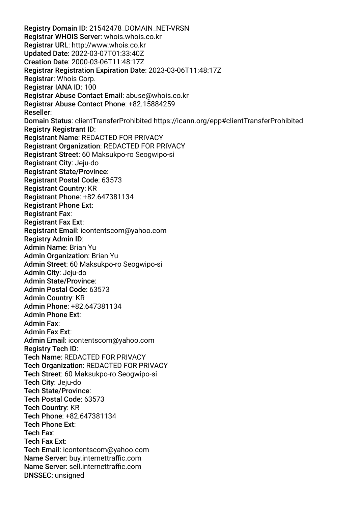Registry Domain ID: 21542478\_DOMAIN\_NET-VRSN Registrar WHOIS Server: whois.whois.co.kr Registrar URL: http://www.whois.co.kr Updated Date: 2022-03-07T01:33:40Z Creation Date: 2000-03-06T11:48:17Z Registrar Registration Expiration Date: 2023-03-06T11:48:17Z Registrar: Whois Corp. Registrar IANA ID: 100 Registrar Abuse Contact Email: abuse@whois.co.kr Registrar Abuse Contact Phone: +82.15884259 Reseller: Domain Status: clientTransferProhibited https://icann.org/epp#clientTransferProhibited Registry Registrant ID: Registrant Name: REDACTED FOR PRIVACY Registrant Organization: REDACTED FOR PRIVACY Registrant Street: 60 Maksukpo-ro Seogwipo-si Registrant City: Jeju-do Registrant State/Province: Registrant Postal Code: 63573 Registrant Country: KR Registrant Phone: +82.647381134 Registrant Phone Ext: Registrant Fax: Registrant Fax Ext: Registrant Email: icontentscom@yahoo.com Registry Admin ID: Admin Name: Brian Yu Admin Organization: Brian Yu Admin Street: 60 Maksukpo-ro Seogwipo-si Admin City: Jeiu-do Admin State/Province: Admin Postal Code: 63573 Admin Country: KR Admin Phone: +82.647381134 Admin Phone Ext: Admin Fax: Admin Fax Ext: Admin Email: icontentscom@yahoo.com Registry Tech ID: Tech Name: REDACTED FOR PRIVACY Tech Organization: REDACTED FOR PRIVACY Tech Street: 60 Maksukpo-ro Seogwipo-si Tech City: Jeju-do Tech State/Province: Tech Postal Code: 63573 Tech Country: KR Tech Phone: +82.647381134 Tech Phone Ext: Tech Fax: Tech Fax Ext: Tech Email: icontentscom@yahoo.com Name Server: buy.internettraffic.com Name Server: sell.internettraffic.com DNSSEC: unsigned